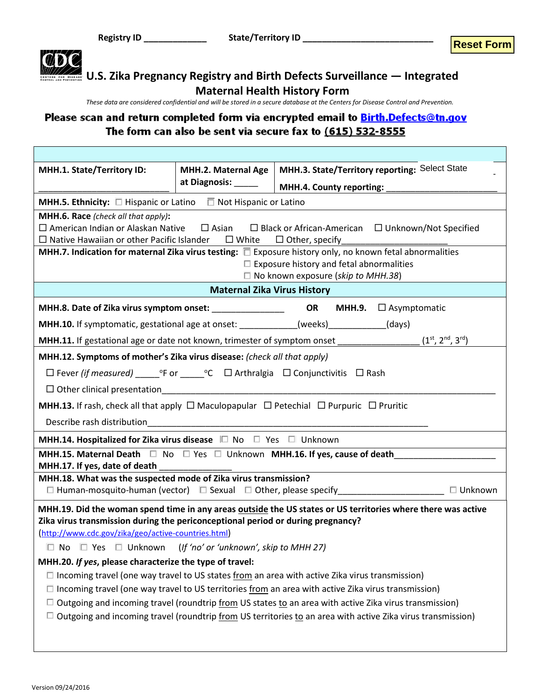

*These data are considered confidential and will be stored in a secure database at the Centers for Disease Control and Prevention.*

#### Please scan and return completed form via encrypted email to **Birth.Defects@tn.gov** The form can also be sent via secure fax to (615) 532-8555

| MHH.1. State/Territory ID:                                                                                                                                                     | MHH.2. Maternal Age                    |                                                 | <b>MHH.3. State/Territory reporting: Select State</b>                      |                |
|--------------------------------------------------------------------------------------------------------------------------------------------------------------------------------|----------------------------------------|-------------------------------------------------|----------------------------------------------------------------------------|----------------|
|                                                                                                                                                                                | at Diagnosis: _____                    | <b>MHH.4. County reporting:</b>                 |                                                                            |                |
| <b>MHH.5. Ethnicity:</b> $\Box$ Hispanic or Latino $\Box$ Not Hispanic or Latino                                                                                               |                                        |                                                 |                                                                            |                |
| MHH.6. Race (check all that apply):                                                                                                                                            |                                        |                                                 |                                                                            |                |
| $\Box$ American Indian or Alaskan Native                                                                                                                                       |                                        |                                                 | $\Box$ Asian $\Box$ Black or African-American $\Box$ Unknown/Not Specified |                |
| $\Box$ Native Hawaiian or other Pacific Islander $\Box$ White<br>MHH.7. Indication for maternal Zika virus testing: $\Box$ Exposure history only, no known fetal abnormalities |                                        | $\Box$ Other, specify                           |                                                                            |                |
|                                                                                                                                                                                |                                        | $\Box$ Exposure history and fetal abnormalities |                                                                            |                |
|                                                                                                                                                                                |                                        | $\Box$ No known exposure (skip to MHH.38)       |                                                                            |                |
|                                                                                                                                                                                | <b>Maternal Zika Virus History</b>     |                                                 |                                                                            |                |
| MHH.8. Date of Zika virus symptom onset: __________________                                                                                                                    |                                        |                                                 | OR MHH.9. <b>CASYMPTOMATIC</b>                                             |                |
| <b>MHH.10.</b> If symptomatic, gestational age at onset: ____________(weeks) (days)                                                                                            |                                        |                                                 |                                                                            |                |
| <b>MHH.11.</b> If gestational age or date not known, trimester of symptom onset $(1^{st}, 2^{nd}, 3^{rd})$                                                                     |                                        |                                                 |                                                                            |                |
| MHH.12. Symptoms of mother's Zika virus disease: (check all that apply)                                                                                                        |                                        |                                                 |                                                                            |                |
|                                                                                                                                                                                |                                        |                                                 |                                                                            |                |
| $\Box$ Other clinical presentation                                                                                                                                             |                                        |                                                 |                                                                            |                |
| <b>MHH.13.</b> If rash, check all that apply $\Box$ Maculopapular $\Box$ Petechial $\Box$ Purpuric $\Box$ Pruritic                                                             |                                        |                                                 |                                                                            |                |
| Describe rash distribution                                                                                                                                                     |                                        |                                                 |                                                                            |                |
| MHH.14. Hospitalized for Zika virus disease □ No □ Yes □ Unknown                                                                                                               |                                        |                                                 |                                                                            |                |
| MHH.15. Maternal Death $\Box$ No $\Box$ Yes $\Box$ Unknown MHH.16. If yes, cause of death                                                                                      |                                        |                                                 |                                                                            |                |
| MHH.17. If yes, date of death<br>MHH.18. What was the suspected mode of Zika virus transmission?                                                                               |                                        |                                                 |                                                                            |                |
| $\Box$ Human-mosquito-human (vector) $\Box$ Sexual $\Box$ Other, please specify                                                                                                |                                        |                                                 |                                                                            | $\Box$ Unknown |
| MHH.19. Did the woman spend time in any areas outside the US states or US territories where there was active                                                                   |                                        |                                                 |                                                                            |                |
| Zika virus transmission during the periconceptional period or during pregnancy?                                                                                                |                                        |                                                 |                                                                            |                |
| (http://www.cdc.gov/zika/geo/active-countries.html)                                                                                                                            |                                        |                                                 |                                                                            |                |
| □ Yes □ Unknown<br>$\Box$ No                                                                                                                                                   | (If 'no' or 'unknown', skip to MHH 27) |                                                 |                                                                            |                |
| MHH.20. If yes, please characterize the type of travel:                                                                                                                        |                                        |                                                 |                                                                            |                |
| $\Box$ Incoming travel (one way travel to US states from an area with active Zika virus transmission)                                                                          |                                        |                                                 |                                                                            |                |
| $\Box$ Incoming travel (one way travel to US territories from an area with active Zika virus transmission)                                                                     |                                        |                                                 |                                                                            |                |
| $\Box$ Outgoing and incoming travel (roundtrip from US states to an area with active Zika virus transmission)                                                                  |                                        |                                                 |                                                                            |                |
| $\Box$ Outgoing and incoming travel (roundtrip from US territories to an area with active Zika virus transmission)                                                             |                                        |                                                 |                                                                            |                |
|                                                                                                                                                                                |                                        |                                                 |                                                                            |                |
|                                                                                                                                                                                |                                        |                                                 |                                                                            |                |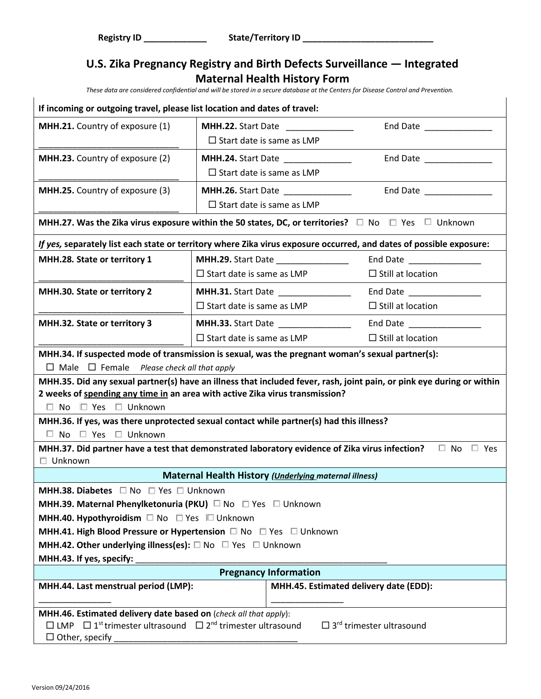| If incoming or outgoing travel, please list location and dates of travel:                                                                                                                                                                    |                                  |                                                       |                          |  |  |
|----------------------------------------------------------------------------------------------------------------------------------------------------------------------------------------------------------------------------------------------|----------------------------------|-------------------------------------------------------|--------------------------|--|--|
| <b>MHH.21.</b> Country of exposure (1)                                                                                                                                                                                                       |                                  | <b>MHH.22.</b> Start Date                             | End Date ______________  |  |  |
|                                                                                                                                                                                                                                              | $\Box$ Start date is same as LMP |                                                       |                          |  |  |
| <b>MHH.23.</b> Country of exposure (2)                                                                                                                                                                                                       |                                  | <b>MHH.24.</b> Start Date                             | End Date _______________ |  |  |
|                                                                                                                                                                                                                                              | $\Box$ Start date is same as LMP |                                                       |                          |  |  |
| MHH.25. Country of exposure (3)                                                                                                                                                                                                              |                                  |                                                       | End Date                 |  |  |
|                                                                                                                                                                                                                                              | $\Box$ Start date is same as LMP |                                                       |                          |  |  |
| MHH.27. Was the Zika virus exposure within the 50 states, DC, or territories? $\square$ No $\square$ Yes $\square$ Unknown                                                                                                                   |                                  |                                                       |                          |  |  |
| If yes, separately list each state or territory where Zika virus exposure occurred, and dates of possible exposure:                                                                                                                          |                                  |                                                       |                          |  |  |
| MHH.28. State or territory 1                                                                                                                                                                                                                 |                                  |                                                       | End Date                 |  |  |
|                                                                                                                                                                                                                                              | $\Box$ Start date is same as LMP |                                                       | $\Box$ Still at location |  |  |
| MHH.30. State or territory 2                                                                                                                                                                                                                 |                                  | <b>MHH.31.</b> Start Date _______________             | End Date _______________ |  |  |
|                                                                                                                                                                                                                                              | $\Box$ Start date is same as LMP |                                                       | $\Box$ Still at location |  |  |
| MHH.32. State or territory 3                                                                                                                                                                                                                 |                                  |                                                       | End Date                 |  |  |
|                                                                                                                                                                                                                                              | $\Box$ Start date is same as LMP |                                                       | $\Box$ Still at location |  |  |
| MHH.34. If suspected mode of transmission is sexual, was the pregnant woman's sexual partner(s):<br>$\Box$ Male $\Box$ Female <i>Please check all that apply</i>                                                                             |                                  |                                                       |                          |  |  |
| MHH.35. Did any sexual partner(s) have an illness that included fever, rash, joint pain, or pink eye during or within<br>2 weeks of spending any time in an area with active Zika virus transmission?<br>$\Box$ No $\Box$ Yes $\Box$ Unknown |                                  |                                                       |                          |  |  |
| MHH.36. If yes, was there unprotected sexual contact while partner(s) had this illness?                                                                                                                                                      |                                  |                                                       |                          |  |  |
| $\Box$ No $\Box$ Yes $\Box$ Unknown                                                                                                                                                                                                          |                                  |                                                       |                          |  |  |
| MHH.37. Did partner have a test that demonstrated laboratory evidence of Zika virus infection?                                                                                                                                               |                                  |                                                       | $\Box$ No $\Box$ Yes     |  |  |
| $\Box$ Unknown                                                                                                                                                                                                                               |                                  |                                                       |                          |  |  |
|                                                                                                                                                                                                                                              |                                  | Maternal Health History (Underlying maternal illness) |                          |  |  |
| <b>MHH.38. Diabetes</b> $\Box$ No $\Box$ Yes $\Box$ Unknown                                                                                                                                                                                  |                                  |                                                       |                          |  |  |
| <b>MHH.39. Maternal Phenylketonuria (PKU)</b> $\Box$ No $\Box$ Yes $\Box$ Unknown<br>MHH.40. Hypothyroidism □ No □ Yes □ Unknown                                                                                                             |                                  |                                                       |                          |  |  |
| MHH.41. High Blood Pressure or Hypertension □ No □ Yes □ Unknown                                                                                                                                                                             |                                  |                                                       |                          |  |  |
| <b>MHH.42. Other underlying illness(es):</b> $\square$ No $\square$ Yes $\square$ Unknown                                                                                                                                                    |                                  |                                                       |                          |  |  |
| MHH.43. If yes, specify:                                                                                                                                                                                                                     |                                  |                                                       |                          |  |  |
| <b>Pregnancy Information</b>                                                                                                                                                                                                                 |                                  |                                                       |                          |  |  |
| MHH.44. Last menstrual period (LMP):<br>MHH.45. Estimated delivery date (EDD):                                                                                                                                                               |                                  |                                                       |                          |  |  |
| MHH.46. Estimated delivery date based on (check all that apply):                                                                                                                                                                             |                                  |                                                       |                          |  |  |
| $\Box$ 3 <sup>rd</sup> trimester ultrasound<br>$\Box$ LMP $\Box$ 1 <sup>st</sup> trimester ultrasound $\Box$ 2 <sup>nd</sup> trimester ultrasound<br>$\Box$ Other, specify                                                                   |                                  |                                                       |                          |  |  |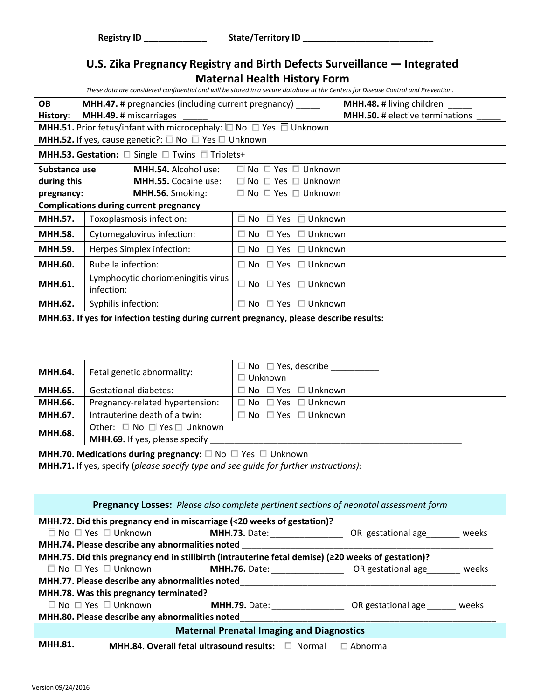| These data are considered confidential and will be stored in a secure database at the Centers for Disease Control and Prevention. |  |  |  |
|-----------------------------------------------------------------------------------------------------------------------------------|--|--|--|
|                                                                                                                                   |  |  |  |

| <b>OB</b><br><b>History:</b>                                                          | <b>MHH.47.</b> # pregnancies (including current pregnancy) ______<br><b>MHH.48.</b> # living children<br><b>MHH.50.</b> # elective terminations<br>MHH.49. # miscarriages |                                                  |                                                                                    |  |
|---------------------------------------------------------------------------------------|---------------------------------------------------------------------------------------------------------------------------------------------------------------------------|--------------------------------------------------|------------------------------------------------------------------------------------|--|
|                                                                                       | <b>MHH.51.</b> Prior fetus/infant with microcephaly: $\square$ No $\square$ Yes $\square$ Unknown                                                                         |                                                  |                                                                                    |  |
|                                                                                       | <b>MHH.52.</b> If yes, cause genetic?: $\Box$ No $\Box$ Yes $\Box$ Unknown                                                                                                |                                                  |                                                                                    |  |
|                                                                                       | <b>MHH.53. Gestation:</b> $\Box$ Single $\Box$ Twins $\overline{\Box}$ Triplets+                                                                                          |                                                  |                                                                                    |  |
| Substance use                                                                         | MHH.54. Alcohol use:                                                                                                                                                      | $\Box$ No $\Box$ Yes $\Box$ Unknown              |                                                                                    |  |
| during this                                                                           | MHH.55. Cocaine use:                                                                                                                                                      | $\Box$ No $\Box$ Yes $\Box$ Unknown              |                                                                                    |  |
| pregnancy:                                                                            | MHH.56. Smoking:                                                                                                                                                          | $\Box$ No $\Box$ Yes $\Box$ Unknown              |                                                                                    |  |
|                                                                                       | <b>Complications during current pregnancy</b>                                                                                                                             |                                                  |                                                                                    |  |
| <b>MHH.57.</b>                                                                        | Toxoplasmosis infection:                                                                                                                                                  | $\Box$ No $\Box$ Yes $\Box$ Unknown              |                                                                                    |  |
| <b>MHH.58.</b>                                                                        | Cytomegalovirus infection:                                                                                                                                                | $\Box$ No $\Box$ Yes $\Box$ Unknown              |                                                                                    |  |
| MHH.59.                                                                               | Herpes Simplex infection:                                                                                                                                                 | $\square$ No $\square$ Yes $\square$ Unknown     |                                                                                    |  |
| MHH.60.                                                                               | Rubella infection:                                                                                                                                                        | $\Box$ No $\Box$ Yes $\Box$ Unknown              |                                                                                    |  |
| MHH.61.                                                                               | Lymphocytic choriomeningitis virus<br>infection:                                                                                                                          | $\Box$ No $\Box$ Yes $\Box$ Unknown              |                                                                                    |  |
| MHH.62.                                                                               | Syphilis infection:                                                                                                                                                       | $\Box$ No $\Box$ Yes $\Box$ Unknown              |                                                                                    |  |
|                                                                                       | MHH.63. If yes for infection testing during current pregnancy, please describe results:                                                                                   |                                                  |                                                                                    |  |
| MHH.64.                                                                               | Fetal genetic abnormality:                                                                                                                                                | $\square$ No $\square$ Yes, describe             |                                                                                    |  |
|                                                                                       |                                                                                                                                                                           | $\Box$ Unknown                                   |                                                                                    |  |
| MHH.65.                                                                               | <b>Gestational diabetes:</b>                                                                                                                                              | $\square$ No $\square$ Yes $\square$ Unknown     |                                                                                    |  |
| MHH.66.                                                                               | Pregnancy-related hypertension:                                                                                                                                           | $\Box$ Unknown<br>$\Box$ No $\Box$ Yes           |                                                                                    |  |
| MHH.67.                                                                               | Intrauterine death of a twin:                                                                                                                                             | $\Box$ No $\Box$ Yes $\Box$ Unknown              |                                                                                    |  |
| <b>MHH.68.</b>                                                                        | Other: □ No □ Yes □ Unknown                                                                                                                                               |                                                  |                                                                                    |  |
| MHH.69. If yes, please specify                                                        |                                                                                                                                                                           |                                                  |                                                                                    |  |
| <b>MHH.70. Medications during pregnancy:</b> $\Box$ No $\Box$ Yes $\Box$ Unknown      |                                                                                                                                                                           |                                                  |                                                                                    |  |
| MHH.71. If yes, specify (please specify type and see guide for further instructions): |                                                                                                                                                                           |                                                  |                                                                                    |  |
|                                                                                       |                                                                                                                                                                           |                                                  |                                                                                    |  |
| Pregnancy Losses: Please also complete pertinent sections of neonatal assessment form |                                                                                                                                                                           |                                                  |                                                                                    |  |
|                                                                                       | MHH.72. Did this pregnancy end in miscarriage (<20 weeks of gestation)?                                                                                                   |                                                  |                                                                                    |  |
|                                                                                       | $\Box$ No $\Box$ Yes $\Box$ Unknown                                                                                                                                       |                                                  | MHH.73. Date: _____________________ OR gestational age________ weeks               |  |
|                                                                                       | MHH.74. Please describe any abnormalities noted                                                                                                                           |                                                  |                                                                                    |  |
|                                                                                       | MHH.75. Did this pregnancy end in stillbirth (intrauterine fetal demise) (220 weeks of gestation)?                                                                        |                                                  |                                                                                    |  |
|                                                                                       | $\Box$ No $\Box$ Yes $\Box$ Unknown                                                                                                                                       |                                                  | <b>MHH.76.</b> Date: __________________________ OR gestational age__________ weeks |  |
|                                                                                       | MHH.77. Please describe any abnormalities noted                                                                                                                           |                                                  |                                                                                    |  |
|                                                                                       | MHH.78. Was this pregnancy terminated?<br>$\Box$ No $\Box$ Yes $\Box$ Unknown                                                                                             |                                                  |                                                                                    |  |
|                                                                                       | MHH.80. Please describe any abnormalities noted                                                                                                                           |                                                  | <b>MHH.79.</b> Date: ________________________ OR gestational age ________ weeks    |  |
|                                                                                       |                                                                                                                                                                           | <b>Maternal Prenatal Imaging and Diagnostics</b> |                                                                                    |  |
| MHH.81.                                                                               |                                                                                                                                                                           |                                                  |                                                                                    |  |
|                                                                                       | <b>MHH.84. Overall fetal ultrasound results:</b> $\Box$ Normal                                                                                                            |                                                  | $\Box$ Abnormal                                                                    |  |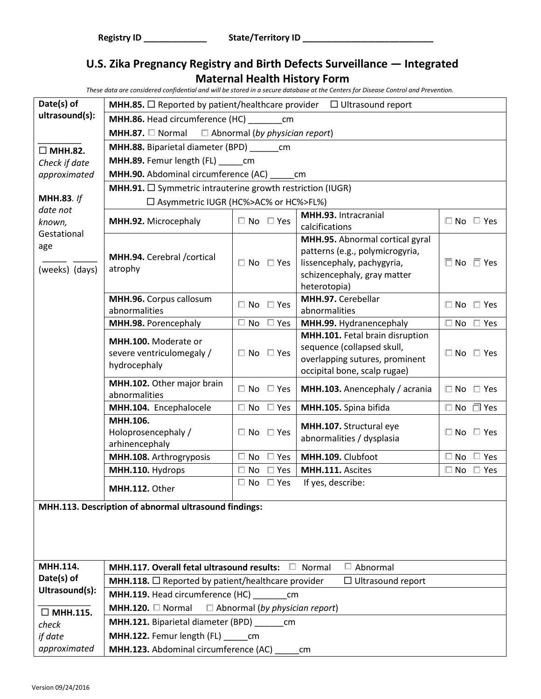| Date(s) of                                                     | <b>MHH.85.</b> $\Box$ Reported by patient/healthcare provider $\Box$ Ultrasound report |                                       |                                                                                                                                 |                            |  |
|----------------------------------------------------------------|----------------------------------------------------------------------------------------|---------------------------------------|---------------------------------------------------------------------------------------------------------------------------------|----------------------------|--|
| ultrasound(s):                                                 | MHH.86. Head circumference (HC) _________ cm                                           |                                       |                                                                                                                                 |                            |  |
|                                                                | <b>MHH.87.</b> $\Box$ Normal $\Box$ Abnormal (by physician report)                     |                                       |                                                                                                                                 |                            |  |
| $\Box$ MHH.82.                                                 | MHH.88. Biparietal diameter (BPD)                                                      | cm                                    |                                                                                                                                 |                            |  |
| Check if date                                                  | MHH.89. Femur length (FL) ______ cm                                                    |                                       |                                                                                                                                 |                            |  |
| approximated                                                   | MHH.90. Abdominal circumference (AC)                                                   |                                       | cm                                                                                                                              |                            |  |
|                                                                | <b>MHH.91.</b> $\square$ Symmetric intrauterine growth restriction (IUGR)              |                                       |                                                                                                                                 |                            |  |
| <b>MHH.83.</b> If                                              | □ Asymmetric IUGR (HC%>AC% or HC%>FL%)                                                 |                                       |                                                                                                                                 |                            |  |
| date not<br>known,                                             | MHH.92. Microcephaly                                                                   | $\Box$ No $\Box$ Yes                  | MHH.93. Intracranial<br>calcifications                                                                                          | $\square$ No $\square$ Yes |  |
| Gestational<br>age<br>(weeks) (days)                           | MHH.94. Cerebral / cortical<br>atrophy                                                 | $\Box$ No $\Box$ Yes                  | MHH.95. Abnormal cortical gyral<br>patterns (e.g., polymicrogyria,<br>lissencephaly, pachygyria,                                | $\Box$ No $\Box$ Yes       |  |
|                                                                |                                                                                        |                                       | schizencephaly, gray matter<br>heterotopia)                                                                                     |                            |  |
|                                                                | MHH.96. Corpus callosum<br>abnormalities                                               | $\Box$ No<br>$\Box$ Yes               | MHH.97. Cerebellar<br>abnormalities                                                                                             | $\Box$ No $\Box$ Yes       |  |
|                                                                | MHH.98. Porencephaly                                                                   | $\square$ No<br>$\Box$ Yes            | MHH.99. Hydranencephaly                                                                                                         | $\square$ No $\square$ Yes |  |
|                                                                | MHH.100. Moderate or<br>severe ventriculomegaly /<br>hydrocephaly                      | $\Box$ No $\Box$ Yes                  | MHH.101. Fetal brain disruption<br>sequence (collapsed skull,<br>overlapping sutures, prominent<br>occipital bone, scalp rugae) | $\Box$ No $\Box$ Yes       |  |
|                                                                | MHH.102. Other major brain<br>abnormalities                                            | $\Box$ No<br>$\square$ Yes            | MHH.103. Anencephaly / acrania                                                                                                  | $\Box$ No $\Box$ Yes       |  |
|                                                                | MHH.104. Encephalocele                                                                 | $\Box$ No<br>$\Box$ Yes               | MHH.105. Spina bifida                                                                                                           | $\square$ No $\square$ Yes |  |
|                                                                | MHH.106.<br>Holoprosencephaly /<br>arhinencephaly                                      | $\Box$ No<br>$\Box$ Yes               | MHH.107. Structural eye<br>abnormalities / dysplasia                                                                            | $\square$ No $\square$ Yes |  |
|                                                                | MHH.108. Arthrogryposis                                                                | $\Box$ Yes<br>$\square$ No            | MHH.109. Clubfoot                                                                                                               | $\Box$ No<br>$\Box$ Yes    |  |
|                                                                | MHH.110. Hydrops                                                                       | $\Box$ No<br>$\Box$ Yes               | MHH.111. Ascites                                                                                                                | $\Box$ No<br>$\Box$ Yes    |  |
|                                                                | MHH.112. Other                                                                         | $\Box$ Yes<br>$\Box$ No               | If yes, describe:                                                                                                               |                            |  |
|                                                                | MHH.113. Description of abnormal ultrasound findings:                                  |                                       |                                                                                                                                 |                            |  |
|                                                                |                                                                                        |                                       |                                                                                                                                 |                            |  |
| MHH.114.                                                       | MHH.117. Overall fetal ultrasound results:                                             | $\Box$                                | $\Box$ Abnormal<br>Normal                                                                                                       |                            |  |
| Date(s) of                                                     | <b>MHH.118.</b> $\Box$ Reported by patient/healthcare provider                         |                                       | $\Box$ Ultrasound report                                                                                                        |                            |  |
| Ultrasound(s):                                                 | MHH.119. Head circumference (HC)                                                       | cm                                    |                                                                                                                                 |                            |  |
| $\Box$ MHH.115.                                                | MHH.120. $\Box$ Normal                                                                 | $\Box$ Abnormal (by physician report) |                                                                                                                                 |                            |  |
| <b>MHH.121.</b> Biparietal diameter (BPD) ________ cm<br>check |                                                                                        |                                       |                                                                                                                                 |                            |  |
| if date                                                        | MHH.122. Femur length (FL) ______ cm                                                   |                                       |                                                                                                                                 |                            |  |
| approximated                                                   | MHH.123. Abdominal circumference (AC)<br>cm                                            |                                       |                                                                                                                                 |                            |  |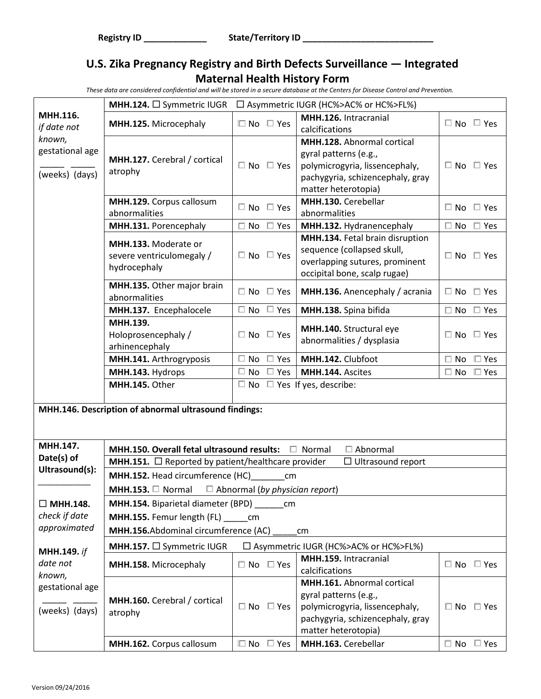|                                             | MHH.124. □ Symmetric IUGR                                           |                            | □ Asymmetric IUGR (HC%>AC% or HC%>FL%)                                                                                                                  |                            |  |
|---------------------------------------------|---------------------------------------------------------------------|----------------------------|---------------------------------------------------------------------------------------------------------------------------------------------------------|----------------------------|--|
| MHH.116.<br>if date not                     | MHH.125. Microcephaly                                               | $\Box$ No $\Box$ Yes       | MHH.126. Intracranial<br>calcifications                                                                                                                 | $\Box$ No $\Box$ Yes       |  |
| known,<br>gestational age<br>(weeks) (days) | MHH.127. Cerebral / cortical<br>atrophy                             | $\Box$ No $\Box$ Yes       | <b>MHH.128.</b> Abnormal cortical<br>gyral patterns (e.g.,<br>polymicrogyria, lissencephaly,<br>pachygyria, schizencephaly, gray<br>matter heterotopia) | $\Box$ No $\Box$ Yes       |  |
|                                             | MHH.129. Corpus callosum<br>abnormalities                           | $\Box$ No $\Box$ Yes       | MHH.130. Cerebellar<br>abnormalities                                                                                                                    | $\Box$ No $\Box$ Yes       |  |
|                                             | MHH.131. Porencephaly                                               | $\Box$ No<br>$\Box$ Yes    | MHH.132. Hydranencephaly                                                                                                                                | $\Box$ No<br>$\Box$ Yes    |  |
|                                             | MHH.133. Moderate or<br>severe ventriculomegaly /<br>hydrocephaly   | $\Box$ No $\Box$ Yes       | MHH.134. Fetal brain disruption<br>sequence (collapsed skull,<br>overlapping sutures, prominent<br>occipital bone, scalp rugae)                         | $\Box$ No $\Box$ Yes       |  |
|                                             | MHH.135. Other major brain<br>abnormalities                         | $\Box$ No $\Box$ Yes       | MHH.136. Anencephaly / acrania                                                                                                                          | $\Box$ No $\Box$ Yes       |  |
|                                             | MHH.137. Encephalocele                                              | $\Box$ Yes<br>$\square$ No | MHH.138. Spina bifida                                                                                                                                   | $\Box$ No<br>$\Box$ Yes    |  |
|                                             | MHH.139.<br>Holoprosencephaly /<br>arhinencephaly                   | $\Box$ No $\Box$ Yes       | MHH.140. Structural eye<br>abnormalities / dysplasia                                                                                                    | $\Box$ No $\Box$ Yes       |  |
|                                             | MHH.141. Arthrogryposis                                             | $\Box$ No $\Box$ Yes       | MHH.142. Clubfoot                                                                                                                                       | $\square$ No<br>$\Box$ Yes |  |
|                                             | MHH.143. Hydrops                                                    | $\Box$ No $\Box$ Yes       | MHH.144. Ascites                                                                                                                                        | $\Box$ Yes<br>$\Box$ No    |  |
|                                             | MHH.145. Other                                                      |                            | $\Box$ No $\Box$ Yes If yes, describe:                                                                                                                  |                            |  |
|                                             | MHH.146. Description of abnormal ultrasound findings:               |                            |                                                                                                                                                         |                            |  |
| MHH.147.                                    | MHH.150. Overall fetal ultrasound results: □ Normal                 |                            | $\Box$ Abnormal                                                                                                                                         |                            |  |
| Date(s) of                                  | <b>MHH.151.</b> $\Box$ Reported by patient/healthcare provider      |                            | $\Box$ Ultrasound report                                                                                                                                |                            |  |
| Ultrasound(s):                              | MHH.152. Head circumference (HC)                                    | cm                         |                                                                                                                                                         |                            |  |
|                                             | <b>MHH.153.</b> $\Box$ Normal $\Box$ Abnormal (by physician report) |                            |                                                                                                                                                         |                            |  |
| $\Box$ MHH.148.                             | <b>MHH.154.</b> Biparietal diameter (BPD) ________ cm               |                            |                                                                                                                                                         |                            |  |
| check if date                               | MHH.155. Femur length (FL) ______ cm                                |                            |                                                                                                                                                         |                            |  |
| approximated                                | MHH.156.Abdominal circumference (AC)                                |                            | cm                                                                                                                                                      |                            |  |
| <b>MHH.149.</b> if                          | MHH.157. □ Symmetric IUGR<br>□ Asymmetric IUGR (HC%>AC% or HC%>FL%) |                            |                                                                                                                                                         |                            |  |
| date not<br>known,                          | MHH.158. Microcephaly                                               | $\Box$ No $\Box$ Yes       | MHH.159. Intracranial<br>calcifications                                                                                                                 | $\Box$ No $\Box$ Yes       |  |
| gestational age<br>(weeks) (days)           | MHH.160. Cerebral / cortical<br>atrophy                             | $\Box$ No $\Box$ Yes       | MHH.161. Abnormal cortical<br>gyral patterns (e.g.,<br>polymicrogyria, lissencephaly,<br>pachygyria, schizencephaly, gray<br>matter heterotopia)        | $\Box$ No $\Box$ Yes       |  |
|                                             | MHH.162. Corpus callosum                                            | $\Box$ No<br>$\square$ Yes | MHH.163. Cerebellar                                                                                                                                     | $\Box$ No $\Box$ Yes       |  |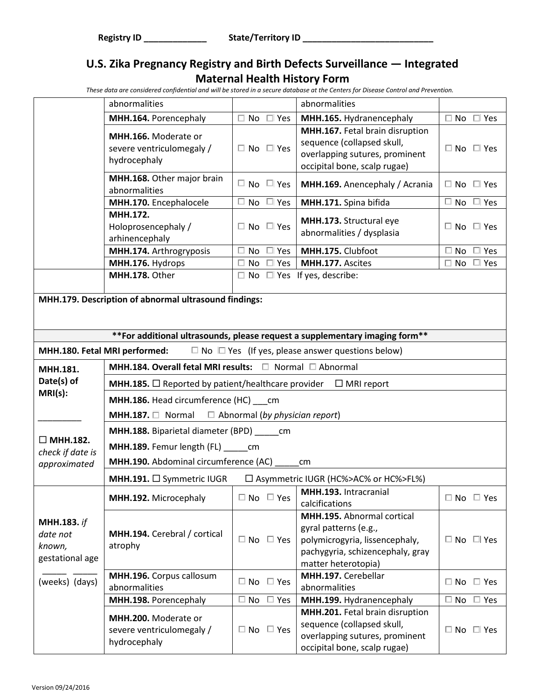|                                                                                               | abnormalities                                                                                                               |                            | abnormalities                                                                                                                                    |                            |  |
|-----------------------------------------------------------------------------------------------|-----------------------------------------------------------------------------------------------------------------------------|----------------------------|--------------------------------------------------------------------------------------------------------------------------------------------------|----------------------------|--|
|                                                                                               | MHH.164. Porencephaly                                                                                                       | $\Box$ No $\Box$ Yes       | MHH.165. Hydranencephaly                                                                                                                         | $\Box$ No $\Box$ Yes       |  |
|                                                                                               | MHH.166. Moderate or<br>severe ventriculomegaly /<br>hydrocephaly                                                           | $\Box$ No $\Box$ Yes       | MHH.167. Fetal brain disruption<br>sequence (collapsed skull,<br>overlapping sutures, prominent<br>occipital bone, scalp rugae)                  | $\Box$ No $\Box$ Yes       |  |
|                                                                                               | MHH.168. Other major brain<br>abnormalities                                                                                 | $\Box$ No $\Box$ Yes       | MHH.169. Anencephaly / Acrania                                                                                                                   | $\Box$ No $\Box$ Yes       |  |
|                                                                                               | MHH.170. Encephalocele                                                                                                      | $\Box$ Yes<br>No.          | MHH.171. Spina bifida                                                                                                                            | $\Box$ No<br>$\Box$ Yes    |  |
|                                                                                               | MHH.172.<br>Holoprosencephaly /<br>arhinencephaly                                                                           | $\Box$ No $\Box$ Yes       | MHH.173. Structural eye<br>abnormalities / dysplasia                                                                                             | $\Box$ No $\Box$ Yes       |  |
|                                                                                               | MHH.174. Arthrogryposis                                                                                                     | $\Box$<br>$\Box$ Yes<br>No | MHH.175. Clubfoot                                                                                                                                | $\square$ No<br>$\Box$ Yes |  |
|                                                                                               | MHH.176. Hydrops                                                                                                            | $\Box$ No $\Box$ Yes       | MHH.177. Ascites                                                                                                                                 | $\Box$ No<br>$\Box$ Yes    |  |
|                                                                                               | MHH.178. Other                                                                                                              |                            | $\Box$ No $\Box$ Yes If yes, describe:                                                                                                           |                            |  |
|                                                                                               | MHH.179. Description of abnormal ultrasound findings:                                                                       |                            |                                                                                                                                                  |                            |  |
|                                                                                               |                                                                                                                             |                            |                                                                                                                                                  |                            |  |
|                                                                                               |                                                                                                                             |                            | ** For additional ultrasounds, please request a supplementary imaging form**                                                                     |                            |  |
| $\Box$ No $\Box$ Yes (If yes, please answer questions below)<br>MHH.180. Fetal MRI performed: |                                                                                                                             |                            |                                                                                                                                                  |                            |  |
| MHH.181.                                                                                      | MHH.184. Overall fetal MRI results: □ Normal □ Abnormal                                                                     |                            |                                                                                                                                                  |                            |  |
| Date(s) of                                                                                    | <b>MHH.185.</b> $\Box$ Reported by patient/healthcare provider $\Box$ MRI report<br>MHH.186. Head circumference (HC) ___ cm |                            |                                                                                                                                                  |                            |  |
| $MRI(s)$ :                                                                                    |                                                                                                                             |                            |                                                                                                                                                  |                            |  |
|                                                                                               | <b>MHH.187.</b> $\Box$ Normal $\Box$ Abnormal (by physician report)                                                         |                            |                                                                                                                                                  |                            |  |
|                                                                                               | <b>MHH.188.</b> Biparietal diameter (BPD) _______ cm                                                                        |                            |                                                                                                                                                  |                            |  |
| $\Box$ MHH.182.                                                                               | MHH.189. Femur length (FL) cm                                                                                               |                            |                                                                                                                                                  |                            |  |
| check if date is<br>approximated                                                              | MHH.190. Abdominal circumference (AC)                                                                                       |                            | cm                                                                                                                                               |                            |  |
|                                                                                               | MHH.191. □ Symmetric IUGR<br>□ Asymmetric IUGR (HC%>AC% or HC%>FL%)                                                         |                            |                                                                                                                                                  |                            |  |
|                                                                                               | MHH.192. Microcephaly                                                                                                       | $\Box$ No $\Box$ Yes       | MHH.193. Intracranial                                                                                                                            | $\Box$ No $\Box$ Yes       |  |
|                                                                                               |                                                                                                                             |                            | calcifications                                                                                                                                   |                            |  |
| <b>MHH.183.</b> if<br>date not<br>known,<br>gestational age                                   | MHH.194. Cerebral / cortical<br>atrophy                                                                                     | $\Box$ No $\Box$ Yes       | MHH.195. Abnormal cortical<br>gyral patterns (e.g.,<br>polymicrogyria, lissencephaly,<br>pachygyria, schizencephaly, gray<br>matter heterotopia) | $\Box$ No $\Box$ Yes       |  |
| (weeks) (days)                                                                                | MHH.196. Corpus callosum<br>abnormalities                                                                                   | $\Box$ No<br>$\Box$ Yes    | MHH.197. Cerebellar<br>abnormalities                                                                                                             | $\Box$ No $\Box$ Yes       |  |
|                                                                                               | MHH.198. Porencephaly                                                                                                       | $\square$ No<br>$\Box$ Yes | MHH.199. Hydranencephaly                                                                                                                         | $\Box$ No $\Box$ Yes       |  |
|                                                                                               | MHH.200. Moderate or<br>severe ventriculomegaly /<br>hydrocephaly                                                           | $\Box$ No $\Box$ Yes       | MHH.201. Fetal brain disruption<br>sequence (collapsed skull,<br>overlapping sutures, prominent<br>occipital bone, scalp rugae)                  | $\Box$ No $\Box$ Yes       |  |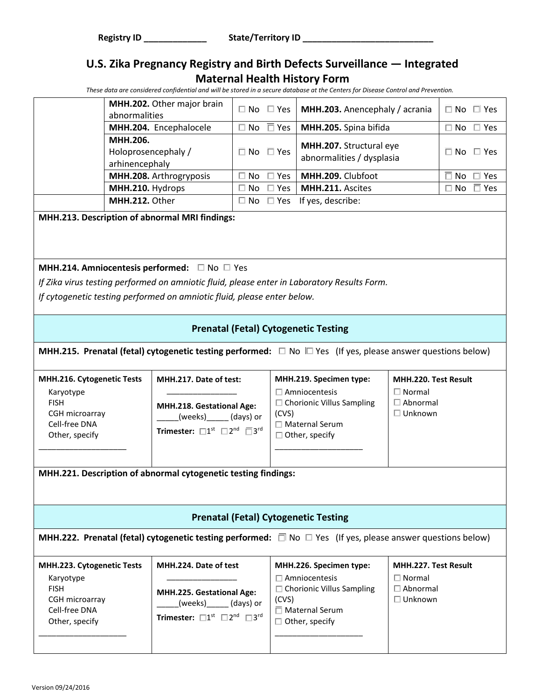*These data are considered confidential and will be stored in a secure database at the Centers for Disease Control and Prevention.*

| MHH.202. Other major brain<br>abnormalities       |                            | $\Box$ No $\Box$ Yes   MHH.203. Anencephaly / acrania | $\Box$ No $\Box$ Yes |
|---------------------------------------------------|----------------------------|-------------------------------------------------------|----------------------|
| MHH.204. Encephalocele                            | $\Box$ No $\Box$ Yes       | MHH.205. Spina bifida                                 | $\Box$ No $\Box$ Yes |
| MHH.206.<br>Holoprosencephaly /<br>arhinencephaly | $\Box$ No $\Box$ Yes       | MHH.207. Structural eye<br>abnormalities / dysplasia  | $\Box$ No $\Box$ Yes |
| MHH.208. Arthrogryposis                           | $\square$ No $\square$ Yes | MHH.209. Clubfoot                                     | $\Box$ No $\Box$ Yes |
| MHH.210. Hydrops                                  | $\Box$ No $\Box$ Yes       | MHH.211. Ascites                                      | $\Box$ No $\Box$ Yes |
| MHH.212. Other                                    |                            | $\Box$ No $\Box$ Yes If yes, describe:                |                      |

**MHH.213. Description of abnormal MRI findings:**

#### **MHH.214. Amniocentesis performed:** □ No □ Yes

*If Zika virus testing performed on amniotic fluid, please enter in Laboratory Results Form.* 

*If cytogenetic testing performed on amniotic fluid, please enter below.*

#### **Prenatal (Fetal) Cytogenetic Testing**

**MHH.215. Prenatal (fetal) cytogenetic testing performed:** □ No  $□$  Yes (If yes, please answer questions below)

| <b>MHH.216. Cytogenetic Tests</b>                 | MHH.217. Date of test:                                                                                                                | MHH.219. Specimen type:                             | <b>MHH.220. Test Result</b> |
|---------------------------------------------------|---------------------------------------------------------------------------------------------------------------------------------------|-----------------------------------------------------|-----------------------------|
| Karyotype<br><b>FISH</b>                          |                                                                                                                                       | l Amniocentesis<br>$\Box$ Chorionic Villus Sampling | Normal<br>Abnormal          |
| CGH microarray<br>Cell-free DNA<br>Other, specify | <b>MHH.218. Gestational Age:</b><br>(weeks)<br>(days) or<br>Trimester: $\square 1^{\rm st}$ $\square 2^{\rm nd}$ $\square 3^{\rm rd}$ | (CVS)<br>∃ Maternal Serum<br>Other, specify         | Unknown                     |

**MHH.221. Description of abnormal cytogenetic testing findings:**

#### **Prenatal (Fetal) Cytogenetic Testing**

**MHH.222. Prenatal (fetal) cytogenetic testing performed:** □ No □ Yes (If yes, please answer questions below)

|                                                                                                                                                                                                                                                                                                                                                                        | MHH.224. Date of test | <b>MHH.223. Cytogenetic Tests</b> |
|------------------------------------------------------------------------------------------------------------------------------------------------------------------------------------------------------------------------------------------------------------------------------------------------------------------------------------------------------------------------|-----------------------|-----------------------------------|
| ∃ Amniocentesis<br>l Normal<br>Karyotype<br>$\Box$ Chorionic Villus Sampling<br>Abnormal<br><b>FISH</b><br><b>MHH.225. Gestational Age:</b><br>Unknown<br>(CVS)<br>CGH microarray<br>(days) or<br>(weeks)<br>Cell-free DNA<br>Maternal Serum<br>Trimester: $\square 1^{\text{st}}$ $\square 2^{\text{nd}}$ $\square 3^{\text{rd}}$<br>Other, specify<br>Other, specify |                       |                                   |